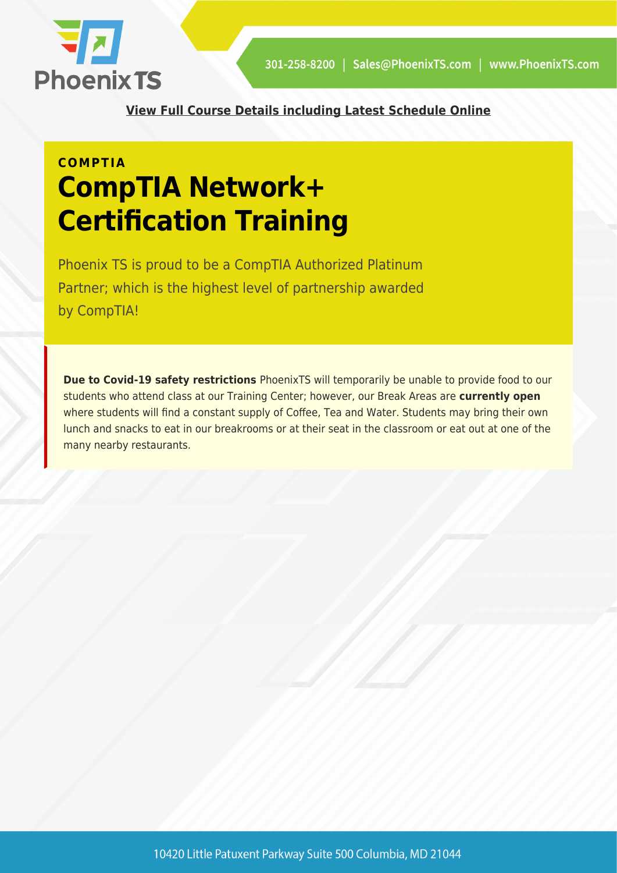

**[View Full Course Details including Latest Schedule Online](https://phoenixts.com/training-courses/network-plus-certification-training-bootcamp-washington-dc/)**

# **COMPTIA CompTIA Network+ Certification Training**

Phoenix TS is proud to be a CompTIA Authorized Platinum Partner; which is the highest level of partnership awarded by CompTIA!

**Due to Covid-19 safety restrictions** PhoenixTS will temporarily be unable to provide food to our students who attend class at our Training Center; however, our Break Areas are **currently open** where students will find a constant supply of Coffee, Tea and Water. Students may bring their own lunch and snacks to eat in our breakrooms or at their seat in the classroom or eat out at one of the many nearby restaurants.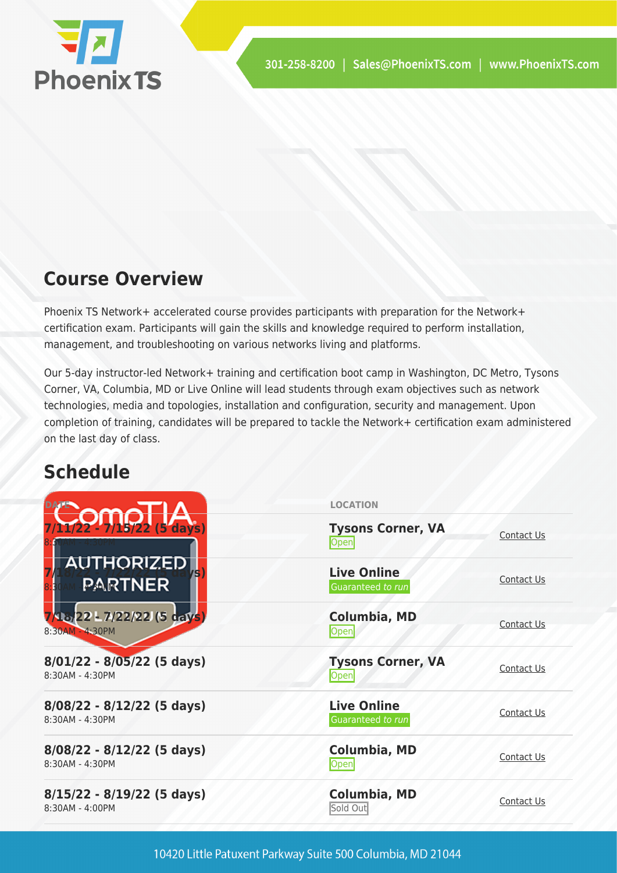

# **Course Overview**

Phoenix TS Network+ accelerated course provides participants with preparation for the Network+ certification exam. Participants will gain the skills and knowledge required to perform installation, management, and troubleshooting on various networks living and platforms.

Our 5-day instructor-led Network+ training and certification boot camp in Washington, DC Metro, Tysons Corner, VA, Columbia, MD or Live Online will lead students through exam objectives such as network technologies, media and topologies, installation and configuration, security and management. Upon completion of training, candidates will be prepared to tackle the Network+ certification exam administered on the last day of class.

# **Schedule**

|                                                   | <b>LOCATION</b>                         |                   |
|---------------------------------------------------|-----------------------------------------|-------------------|
| $1/22 - 7/15/22$ (5 days)                         | <b>Tysons Corner, VA</b><br>Open        | Contact Us        |
| <u>AUTHORIZED </u><br><b>PARTNER</b>              | <b>Live Online</b><br>Guaranteed to run | Contact Us        |
| 73822L7/22/22 (5 days)<br>8:30AM - 4:30PM         | Columbia, MD<br>Open                    | Contact Us        |
| $8/01/22 - 8/05/22$ (5 days)<br>8:30AM - 4:30PM   | <b>Tysons Corner, VA</b><br>Open        | Contact Us        |
| $8/08/22 - 8/12/22$ (5 days)<br>8:30AM - 4:30PM   | <b>Live Online</b><br>Guaranteed to run | Contact Us        |
| $8/08/22 - 8/12/22$ (5 days)<br>8:30AM - 4:30PM   | <b>Columbia, MD</b><br>Open             | <b>Contact Us</b> |
| $8/15/22 - 8/19/22$ (5 days)<br>$8:30AM - 4:00PM$ | Columbia, MD<br>Sold Out                | Contact Us        |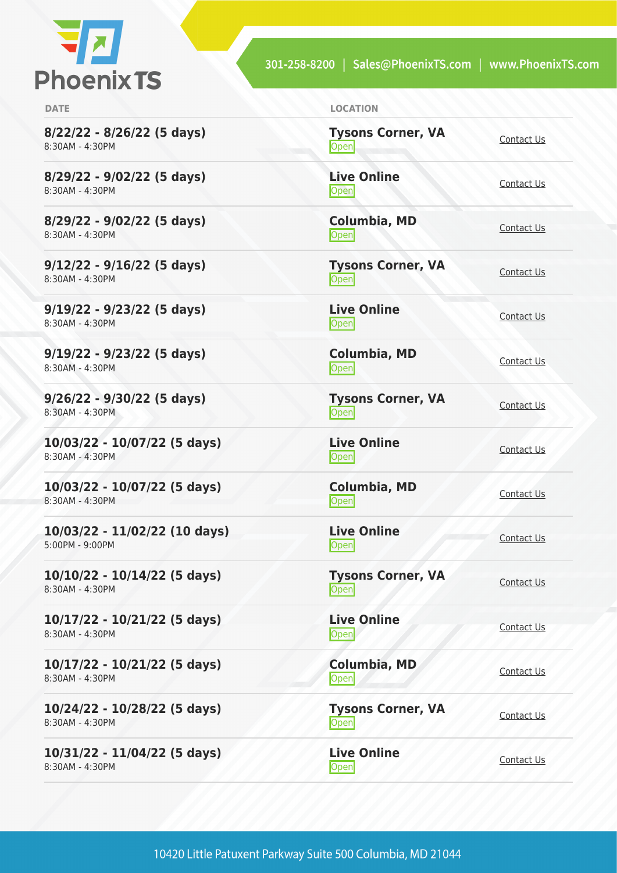

**8/22/22 - 8/26/22 (5 days)** 8:30AM - 4:30PM

**8/29/22 - 9/02/22 (5 days)** 8:30AM - 4:30PM

**8/29/22 - 9/02/22 (5 days)** 8:30AM - 4:30PM

**9/12/22 - 9/16/22 (5 days)** 8:30AM - 4:30PM

**9/19/22 - 9/23/22 (5 days)** 8:30AM - 4:30PM

**9/19/22 - 9/23/22 (5 days)** 8:30AM - 4:30PM

**9/26/22 - 9/30/22 (5 days)** 8:30AM - 4:30PM

**10/03/22 - 10/07/22 (5 days)** 8:30AM - 4:30PM

**10/03/22 - 10/07/22 (5 days)** 8:30AM - 4:30PM

**10/03/22 - 11/02/22 (10 days)** 5:00PM - 9:00PM

**10/10/22 - 10/14/22 (5 days)** 8:30AM - 4:30PM

**10/17/22 - 10/21/22 (5 days)** 8:30AM - 4:30PM

**10/17/22 - 10/21/22 (5 days)** 8:30AM - 4:30PM

**10/24/22 - 10/28/22 (5 days)** 8:30AM - 4:30PM

**10/31/22 - 11/04/22 (5 days)** 8:30AM - 4:30PM

**DATE LOCATION**

| <b>Tysons Corner, VA</b><br>Open | Contact Us        |
|----------------------------------|-------------------|
| <b>Live Online</b><br>Open       | Contact Us        |
| Columbia, MD<br>Open             | Contact Us        |
| <b>Tysons Corner, VA</b><br>Open | Contact Us        |
| <b>Live Online</b><br>Open       | Contact Us        |
| Columbia, MD<br>Open             | Contact Us        |
| <b>Tysons Corner, VA</b><br>Open | <b>Contact Us</b> |
| <b>Live Online</b><br>Open       | <b>Contact Us</b> |
| Columbia, MD<br>Open             | Contact Us        |
| <b>Live Online</b><br>Open       | Contact Us        |
| <b>Tysons Corner, VA</b><br>Open | <b>Contact Us</b> |
| <b>Live Online</b><br>Open       | Contact Us        |
| Columbia, MD<br>Open             | <b>Contact Us</b> |
| <b>Tysons Corner, VA</b><br>Open | <b>Contact Us</b> |

**Live Online** <u>Den [Contact Us](https://phoenixts.com/schedule/more-info/?class=21621)</u>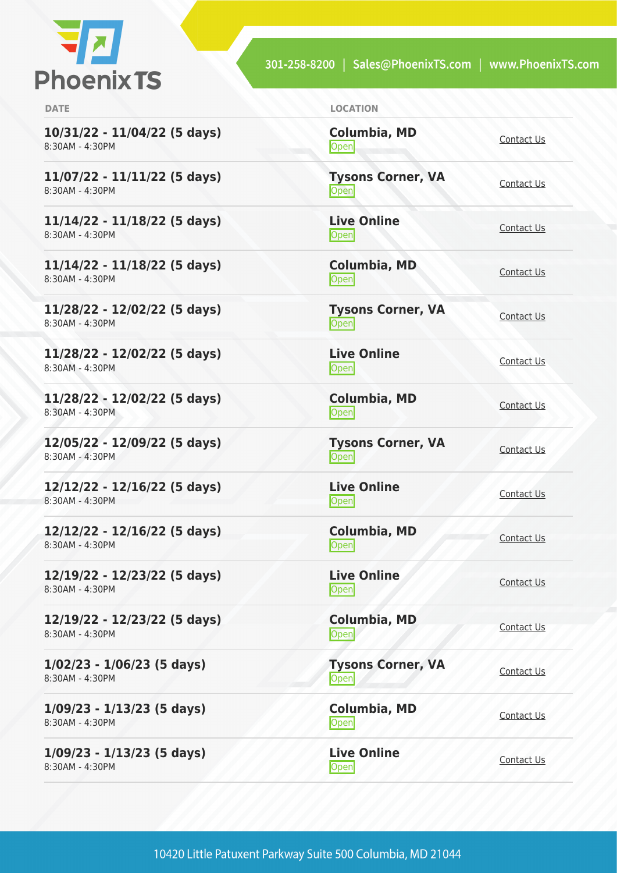

| <b>DATE</b>                                     | <b>LOCATION</b>                   |                   |
|-------------------------------------------------|-----------------------------------|-------------------|
| 10/31/22 - 11/04/22 (5 days)<br>8:30AM - 4:30PM | Columbia, MD<br><b>Open</b>       | Contact Us        |
| 11/07/22 - 11/11/22 (5 days)<br>8:30AM - 4:30PM | <b>Tysons Corner, VA</b><br>Open  | Contact Us        |
| 11/14/22 - 11/18/22 (5 days)<br>8:30AM - 4:30PM | <b>Live Online</b><br>Open        | Contact Us        |
| 11/14/22 - 11/18/22 (5 days)<br>8:30AM - 4:30PM | <b>Columbia, MD</b><br>Open       | Contact Us        |
| 11/28/22 - 12/02/22 (5 days)<br>8:30AM - 4:30PM | <b>Tysons Corner, VA</b><br>Open  | Contact Us        |
| 11/28/22 - 12/02/22 (5 days)<br>8:30AM - 4:30PM | <b>Live Online</b><br>Open        | Contact Us        |
| 11/28/22 - 12/02/22 (5 days)<br>8:30AM - 4:30PM | <b>Columbia, MD</b><br>Open       | <b>Contact Us</b> |
| 12/05/22 - 12/09/22 (5 days)<br>8:30AM - 4:30PM | <b>Tysons Corner, VA</b><br>Open  | <b>Contact Us</b> |
| 12/12/22 - 12/16/22 (5 days)<br>8:30AM - 4:30PM | <b>Live Online</b><br><b>Open</b> | Contact Us        |
| 12/12/22 - 12/16/22 (5 days)<br>8:30AM - 4:30PM | <b>Columbia, MD</b><br>Open       | Contact Us        |
| 12/19/22 - 12/23/22 (5 days)<br>8:30AM - 4:30PM | <b>Live Online</b><br><b>Open</b> | Contact Us        |
| 12/19/22 - 12/23/22 (5 days)<br>8:30AM - 4:30PM | <b>Columbia, MD</b><br>Open       | Contact Us        |
| $1/02/23 - 1/06/23$ (5 days)<br>8:30AM - 4:30PM | <b>Tysons Corner, VA</b><br>Open  | <b>Contact Us</b> |
| $1/09/23 - 1/13/23$ (5 days)<br>8:30AM - 4:30PM | Columbia, MD<br>Open              | Contact Us        |
| $1/09/23 - 1/13/23$ (5 days)<br>8:30AM - 4:30PM | <b>Live Online</b><br>Open        | Contact Us        |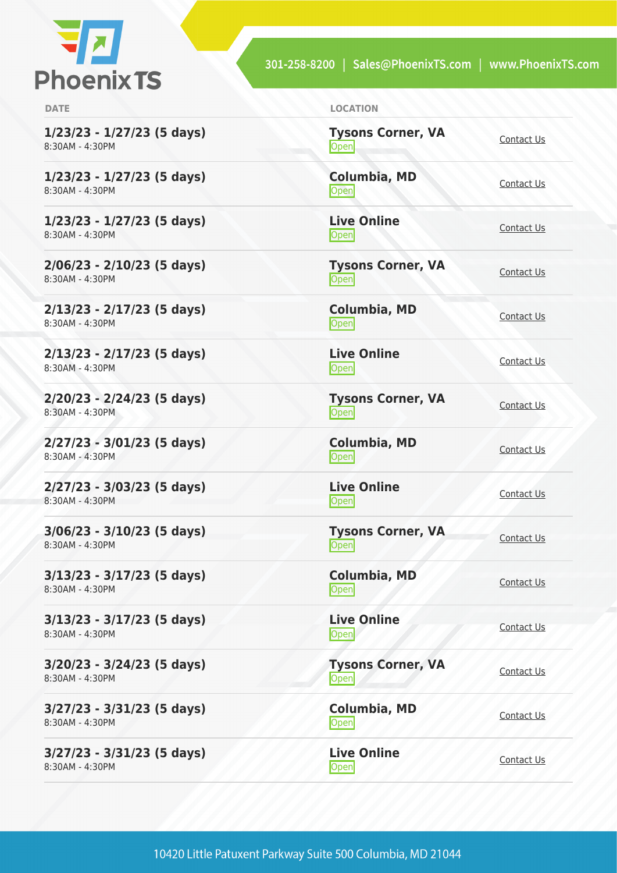

**1/23/23 - 1/27/23 (5 days)** 8:30AM - 4:30PM

**1/23/23 - 1/27/23 (5 days)** 8:30AM - 4:30PM

**1/23/23 - 1/27/23 (5 days)** 8:30AM - 4:30PM

**2/06/23 - 2/10/23 (5 days)** 8:30AM - 4:30PM

**2/13/23 - 2/17/23 (5 days)** 8:30AM - 4:30PM

**2/13/23 - 2/17/23 (5 days)** 8:30AM - 4:30PM

**2/20/23 - 2/24/23 (5 days)** 8:30AM - 4:30PM

**2/27/23 - 3/01/23 (5 days)** 8:30AM - 4:30PM

**2/27/23 - 3/03/23 (5 days)** 8:30AM - 4:30PM

**3/06/23 - 3/10/23 (5 days)** 8:30AM - 4:30PM

**3/13/23 - 3/17/23 (5 days)** 8:30AM - 4:30PM

**3/13/23 - 3/17/23 (5 days)** 8:30AM - 4:30PM

**3/20/23 - 3/24/23 (5 days)** 8:30AM - 4:30PM

**3/27/23 - 3/31/23 (5 days)** 8:30AM - 4:30PM

**3/27/23 - 3/31/23 (5 days)** 8:30AM - 4:30PM

| <b>DATE</b> | <b>LOCATION</b> |
|-------------|-----------------|
|             |                 |

| <b>Tysons Corner, VA</b><br>Open | Contact Us        |
|----------------------------------|-------------------|
| Columbia, MD<br>Open             | Contact Us        |
| <b>Live Online</b><br>Open       | Contact Us        |
| <b>Tysons Corner, VA</b><br>Open | Contact Us        |
| Columbia, MD<br>Open             | Contact Us        |
| <b>Live Online</b><br>Open       | <b>Contact Us</b> |
| <b>Tysons Corner, VA</b><br>Open | <b>Contact Us</b> |
| <b>Columbia, MD</b><br>Open      | <b>Contact Us</b> |
| <b>Live Online</b><br>Open       | Contact Us        |
| <b>Tysons Corner, VA</b><br>Open | Contact Us        |
| Columbia, MD<br>Open             | <b>Contact Us</b> |
| <b>Live Online</b><br>Open       | Contact Us        |
| <b>Tysons Corner, VA</b><br>Open | <b>Contact Us</b> |
| Columbia, MD<br>Open             | <b>Contact Us</b> |
| <b>Live Online</b><br>Open       | Contact Us        |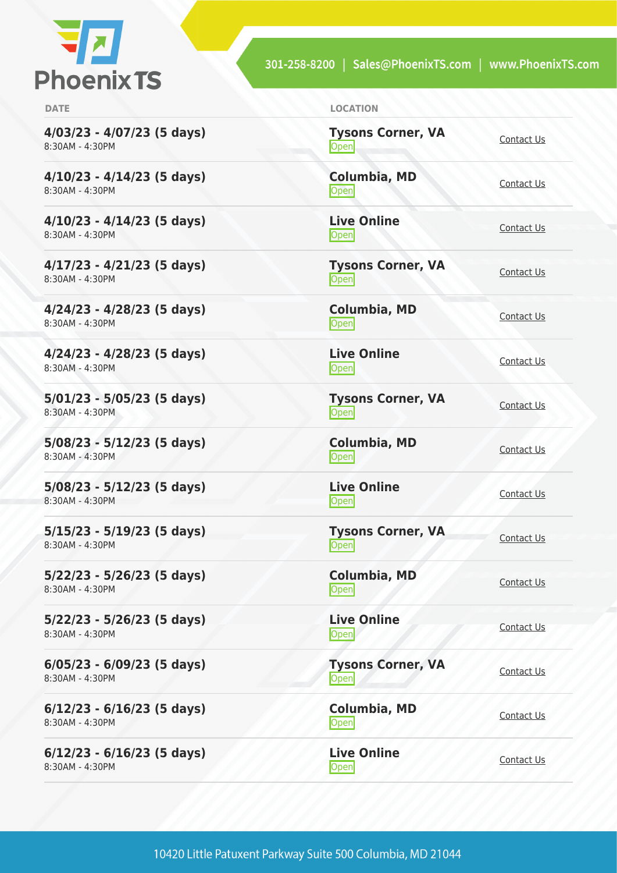

**4/03/23 - 4/07/23 (5 days)** 8:30AM - 4:30PM

**4/10/23 - 4/14/23 (5 days)** 8:30AM - 4:30PM

**4/10/23 - 4/14/23 (5 days)** 8:30AM - 4:30PM

**4/17/23 - 4/21/23 (5 days)** 8:30AM - 4:30PM

**4/24/23 - 4/28/23 (5 days)** 8:30AM - 4:30PM

**4/24/23 - 4/28/23 (5 days)** 8:30AM - 4:30PM

**5/01/23 - 5/05/23 (5 days)** 8:30AM - 4:30PM

**5/08/23 - 5/12/23 (5 days)** 8:30AM - 4:30PM

**5/08/23 - 5/12/23 (5 days)** 8:30AM - 4:30PM

**5/15/23 - 5/19/23 (5 days)** 8:30AM - 4:30PM

**5/22/23 - 5/26/23 (5 days)** 8:30AM - 4:30PM

**5/22/23 - 5/26/23 (5 days)** 8:30AM - 4:30PM

**6/05/23 - 6/09/23 (5 days)** 8:30AM - 4:30PM

**6/12/23 - 6/16/23 (5 days)** 8:30AM - 4:30PM

**6/12/23 - 6/16/23 (5 days)** 8:30AM - 4:30PM

| <b>DATE</b> | <b>LOCATION</b> |
|-------------|-----------------|
|             |                 |

| <b>Tysons Corner, VA</b><br>Open | Contact Us        |
|----------------------------------|-------------------|
| <b>Columbia, MD</b><br>Open      | Contact Us        |
| <b>Live Online</b><br>Open       | Contact Us        |
| <b>Tysons Corner, VA</b><br>Open | Contact Us        |
| Columbia, MD<br>Open             | Contact Us        |
| <b>Live Online</b><br>Open       | Contact Us        |
| <b>Tysons Corner, VA</b><br>Open | Contact Us        |
| <b>Columbia, MD</b><br>Open      | <b>Contact Us</b> |
| <b>Live Online</b><br>Open       | Contact Us        |
| <b>Tysons Corner, VA</b><br>Open | Contact Us        |
| <b>Columbia, MD</b><br>Open      | Contact Us        |
| <b>Live Online</b><br>Open       | Contact Us        |
| <b>Tysons Corner, VA</b><br>Open | Contact Us        |
| Columbia, MD<br>Open             | <b>Contact Us</b> |
| <b>Live Online</b><br>Open       | <b>Contact Us</b> |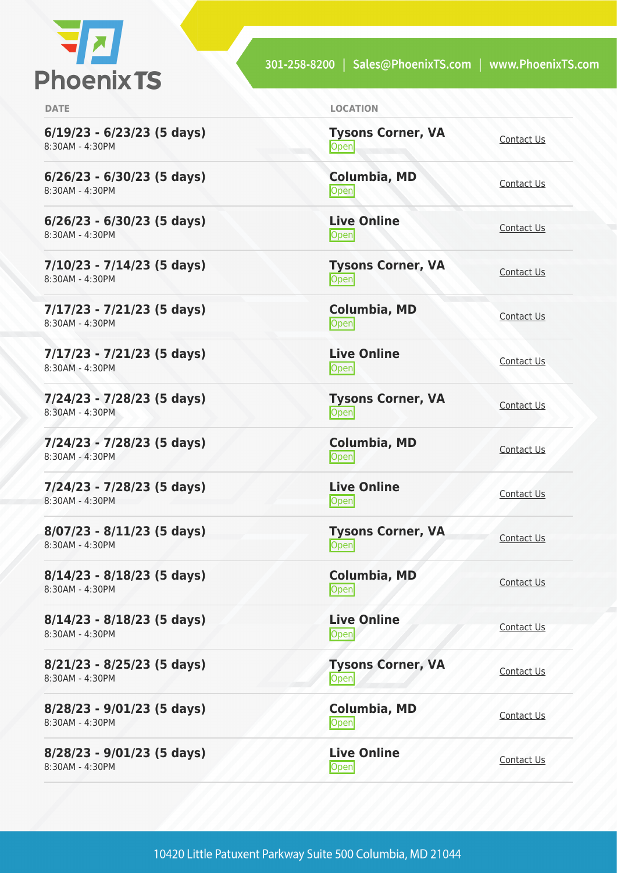

**6/19/23 - 6/23/23 (5 days)** 8:30AM - 4:30PM

**6/26/23 - 6/30/23 (5 days)** 8:30AM - 4:30PM

**6/26/23 - 6/30/23 (5 days)** 8:30AM - 4:30PM

**7/10/23 - 7/14/23 (5 days)** 8:30AM - 4:30PM

**7/17/23 - 7/21/23 (5 days)** 8:30AM - 4:30PM

**7/17/23 - 7/21/23 (5 days)** 8:30AM - 4:30PM

**7/24/23 - 7/28/23 (5 days)** 8:30AM - 4:30PM

**7/24/23 - 7/28/23 (5 days)** 8:30AM - 4:30PM

**7/24/23 - 7/28/23 (5 days)** 8:30AM - 4:30PM

**8/07/23 - 8/11/23 (5 days)** 8:30AM - 4:30PM

**8/14/23 - 8/18/23 (5 days)** 8:30AM - 4:30PM

**8/14/23 - 8/18/23 (5 days)** 8:30AM - 4:30PM

**8/21/23 - 8/25/23 (5 days)** 8:30AM - 4:30PM

**8/28/23 - 9/01/23 (5 days)** 8:30AM - 4:30PM

**8/28/23 - 9/01/23 (5 days)** 8:30AM - 4:30PM

| <b>DATE</b> | <b>LOCATION</b> |
|-------------|-----------------|
|             |                 |

| <b>Tysons Corner, VA</b><br>Open | <b>Contact Us</b> |
|----------------------------------|-------------------|
| Columbia, MD<br>Open             | Contact Us        |
| <b>Live Online</b><br>Open       | Contact Us        |
| <b>Tysons Corner, VA</b><br>Open | Contact Us        |
| Columbia, MD<br>Open             | Contact Us        |
| <b>Live Online</b><br>Open       | Contact Us        |
| <b>Tysons Corner, VA</b><br>Open | <b>Contact Us</b> |
| <b>Columbia, MD</b><br>Open      | <b>Contact Us</b> |
| <b>Live Online</b><br>Open       | Contact Us        |
| <b>Tysons Corner, VA</b><br>Open | Contact Us        |
| Columbia, MD<br>Open             | <b>Contact Us</b> |
| <b>Live Online</b><br>Open       | Contact Us        |
| <b>Tysons Corner, VA</b><br>Open | <b>Contact Us</b> |
| Columbia, MD<br>Open             | <b>Contact Us</b> |
| <b>Live Online</b><br>Open       | Contact Us        |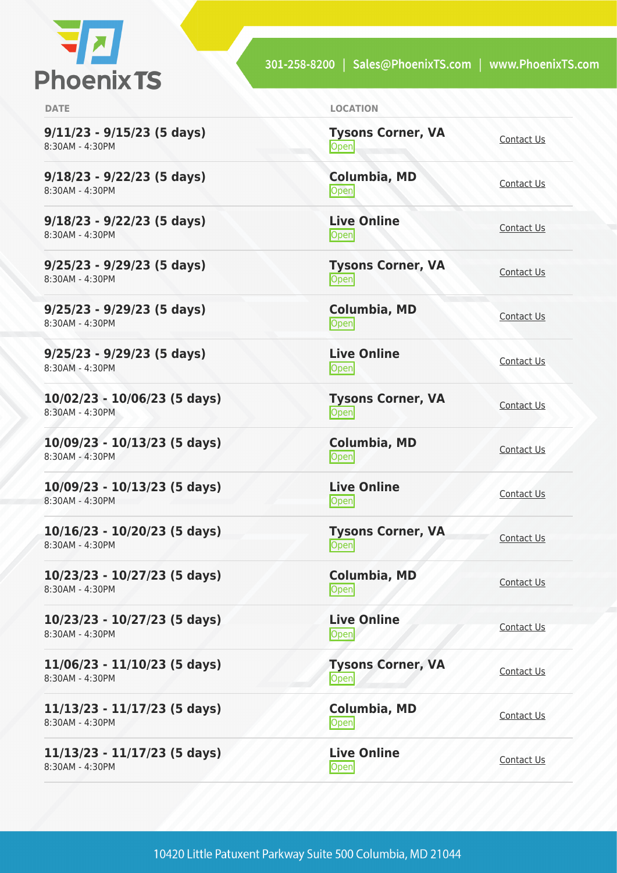

**9/11/23 - 9/15/23 (5 days)** 8:30AM - 4:30PM

**9/18/23 - 9/22/23 (5 days)** 8:30AM - 4:30PM

**9/18/23 - 9/22/23 (5 days)** 8:30AM - 4:30PM

**9/25/23 - 9/29/23 (5 days)** 8:30AM - 4:30PM

**9/25/23 - 9/29/23 (5 days)** 8:30AM - 4:30PM

**9/25/23 - 9/29/23 (5 days)** 8:30AM - 4:30PM

**10/02/23 - 10/06/23 (5 days)** 8:30AM - 4:30PM

**10/09/23 - 10/13/23 (5 days)** 8:30AM - 4:30PM

**10/09/23 - 10/13/23 (5 days)** 8:30AM - 4:30PM

**10/16/23 - 10/20/23 (5 days)** 8:30AM - 4:30PM

**10/23/23 - 10/27/23 (5 days)** 8:30AM - 4:30PM

**10/23/23 - 10/27/23 (5 days)** 8:30AM - 4:30PM

**11/06/23 - 11/10/23 (5 days)** 8:30AM - 4:30PM

**11/13/23 - 11/17/23 (5 days)** 8:30AM - 4:30PM

**11/13/23 - 11/17/23 (5 days)** 8:30AM - 4:30PM

**DATE LOCATION**

| <b>Tysons Corner, VA</b><br>Open | Contact Us        |
|----------------------------------|-------------------|
| Columbia, MD<br>Open             | Contact Us        |
| <b>Live Online</b><br>Open       | Contact Us        |
| <b>Tysons Corner, VA</b><br>Open | Contact Us        |
| <b>Columbia, MD</b><br>Open      | <b>Contact Us</b> |
| <b>Live Online</b><br>Open       | <b>Contact Us</b> |
| <b>Tysons Corner, VA</b><br>Open | Contact Us        |
| Columbia, MD<br>Open             | Contact Us        |
| <b>Live Online</b><br>Open       | <b>Contact Us</b> |
| <b>Tysons Corner, VA</b><br>Open | Contact Us        |
| <b>Columbia, MD</b><br>Open      | <b>Contact Us</b> |
| <b>Live Online</b><br>Open       | Contact Us        |
| <b>Tysons Corner, VA</b><br>Open | Contact Us        |
| Columbia, MD<br>Open             | Contact Us        |
|                                  |                   |

**Live Online** <u>Open</u> [Contact Us](https://phoenixts.com/schedule/more-info/?class=29391)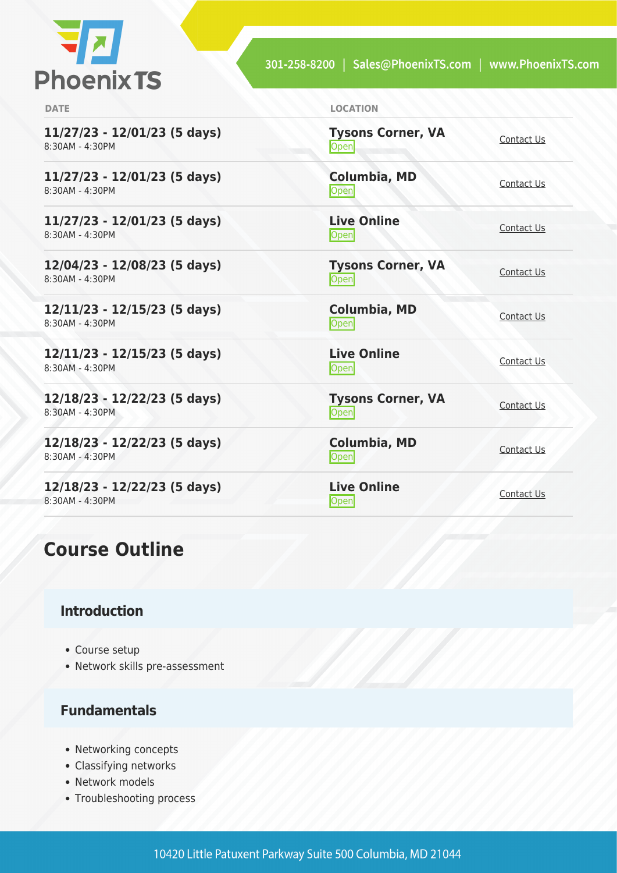

| <b>DATE</b>                                     | <b>LOCATION</b>                   |            |
|-------------------------------------------------|-----------------------------------|------------|
| 11/27/23 - 12/01/23 (5 days)<br>8:30AM - 4:30PM | <b>Tysons Corner, VA</b><br>Open  | Contact Us |
| 11/27/23 - 12/01/23 (5 days)<br>8:30AM - 4:30PM | <b>Columbia, MD</b><br>Open       | Contact Us |
| 11/27/23 - 12/01/23 (5 days)<br>8:30AM - 4:30PM | <b>Live Online</b><br>Open        | Contact Us |
| 12/04/23 - 12/08/23 (5 days)<br>8:30AM - 4:30PM | <b>Tysons Corner, VA</b><br>Open  | Contact Us |
| 12/11/23 - 12/15/23 (5 days)<br>8:30AM - 4:30PM | <b>Columbia, MD</b><br>Open       | Contact Us |
| 12/11/23 - 12/15/23 (5 days)<br>8:30AM - 4:30PM | <b>Live Online</b><br>Open        | Contact Us |
| 12/18/23 - 12/22/23 (5 days)<br>8:30AM - 4:30PM | <b>Tysons Corner, VA</b><br>Open  | Contact Us |
| 12/18/23 - 12/22/23 (5 days)<br>8:30AM - 4:30PM | Columbia, MD<br>Open              | Contact Us |
| 12/18/23 - 12/22/23 (5 days)<br>8:30AM - 4:30PM | <b>Live Online</b><br><b>Open</b> | Contact Us |

# **Course Outline**

## **Introduction**

- Course setup
- Network skills pre-assessment

## **Fundamentals**

- Networking concepts
- Classifying networks
- Network models
- Troubleshooting process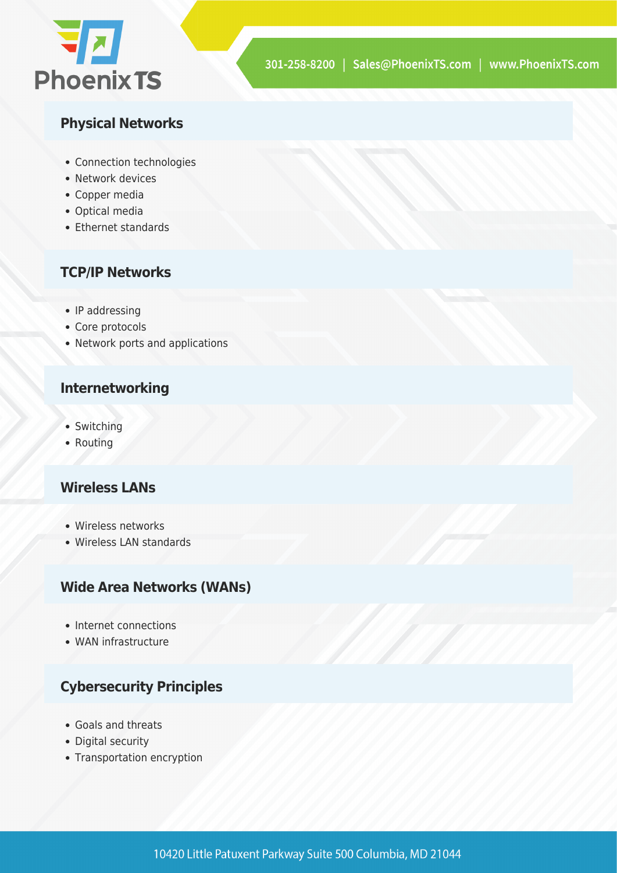

## **Physical Networks**

- Connection technologies
- Network devices
- Copper media
- Optical media
- Ethernet standards

## **TCP/IP Networks**

- IP addressing
- Core protocols
- Network ports and applications

#### **Internetworking**

- Switching
- Routing

#### **Wireless LANs**

- Wireless networks
- Wireless LAN standards

#### **Wide Area Networks (WANs)**

- Internet connections
- WAN infrastructure

## **Cybersecurity Principles**

- Goals and threats
- Digital security
- Transportation encryption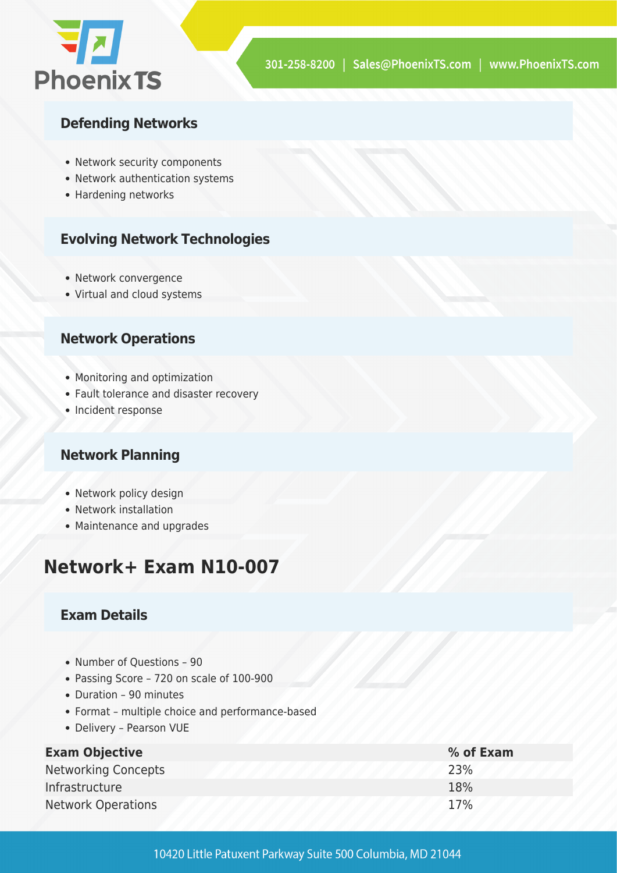

#### **Defending Networks**

- Network security components
- Network authentication systems
- Hardening networks

#### **Evolving Network Technologies**

- Network convergence
- Virtual and cloud systems

#### **Network Operations**

- Monitoring and optimization
- Fault tolerance and disaster recovery
- Incident response

#### **Network Planning**

- Network policy design
- Network installation
- Maintenance and upgrades

# **Network+ Exam N10-007**

#### **Exam Details**

- Number of Questions 90
- Passing Score 720 on scale of 100-900
- Duration 90 minutes
- Format multiple choice and performance-based
- Delivery Pearson VUE

| <b>Exam Objective</b>      | % of Exam |
|----------------------------|-----------|
| <b>Networking Concepts</b> | 23%       |
| Infrastructure             | 18%       |
| <b>Network Operations</b>  | 17%       |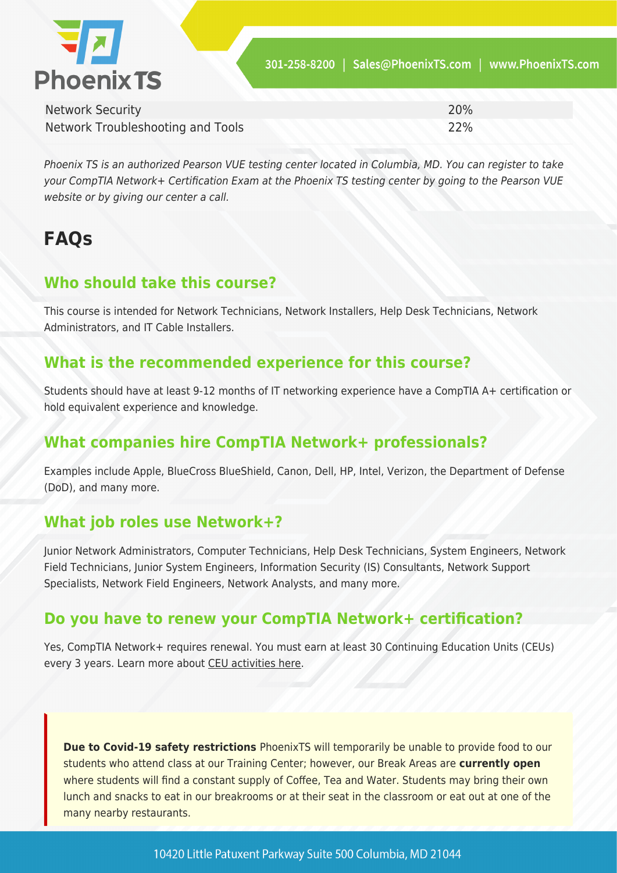

| <b>Network Security</b>           | 20% |
|-----------------------------------|-----|
| Network Troubleshooting and Tools | 22% |

Phoenix TS is an authorized Pearson VUE testing center located in Columbia, MD. You can register to take your CompTIA Network+ Certification Exam at the Phoenix TS testing center by going to the Pearson VUE website or by giving our center a call.

# **FAQs**

# **Who should take this course?**

This course is intended for Network Technicians, Network Installers, Help Desk Technicians, Network Administrators, and IT Cable Installers.

## **What is the recommended experience for this course?**

Students should have at least 9-12 months of IT networking experience have a CompTIA A+ certification or hold equivalent experience and knowledge.

# **What companies hire CompTIA Network+ professionals?**

Examples include Apple, BlueCross BlueShield, Canon, Dell, HP, Intel, Verizon, the Department of Defense (DoD), and many more.

# **What job roles use Network+?**

Junior Network Administrators, Computer Technicians, Help Desk Technicians, System Engineers, Network Field Technicians, Junior System Engineers, Information Security (IS) Consultants, Network Support Specialists, Network Field Engineers, Network Analysts, and many more.

## **Do you have to renew your CompTIA Network+ certification?**

Yes, CompTIA Network+ requires renewal. You must earn at least 30 Continuing Education Units (CEUs) every 3 years. Learn more about [CEU activities here](https://www.comptia.org/continuing-education).

**Due to Covid-19 safety restrictions** PhoenixTS will temporarily be unable to provide food to our students who attend class at our Training Center; however, our Break Areas are **currently open** where students will find a constant supply of Coffee, Tea and Water. Students may bring their own lunch and snacks to eat in our breakrooms or at their seat in the classroom or eat out at one of the many nearby restaurants.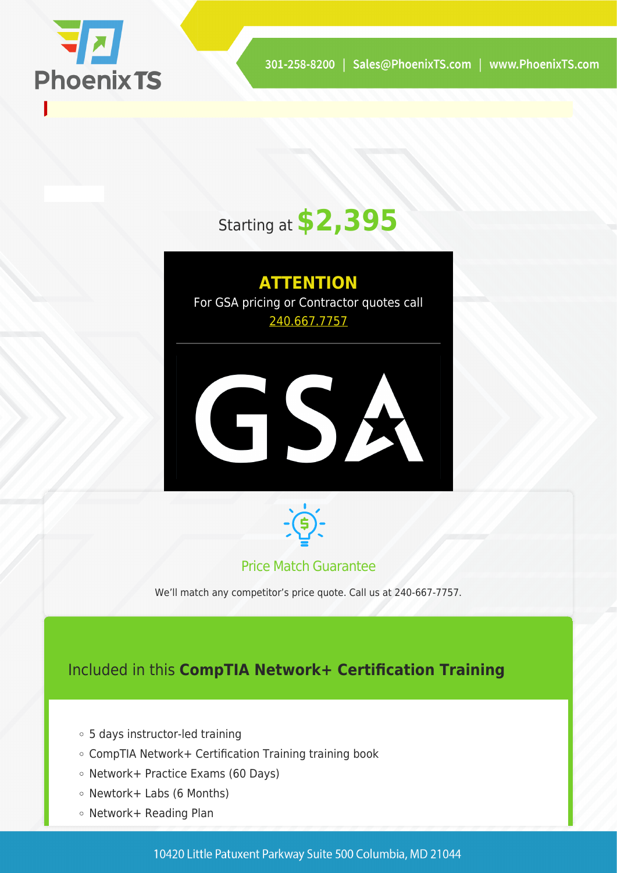

# Starting at **\$2,395**

**ATTENTION** For GSA pricing or Contractor quotes call [240.667.7757](#page--1-0)





#### Price Match Guarantee

We'll match any competitor's price quote. Call us at 240-667-7757.

## Included in this **CompTIA Network+ Certification Training**

- 5 days instructor-led training
- CompTIA Network+ Certification Training training book
- Network+ Practice Exams (60 Days)
- $\circ$  Newtork+ Labs (6 Months)
- Network+ Reading Plan